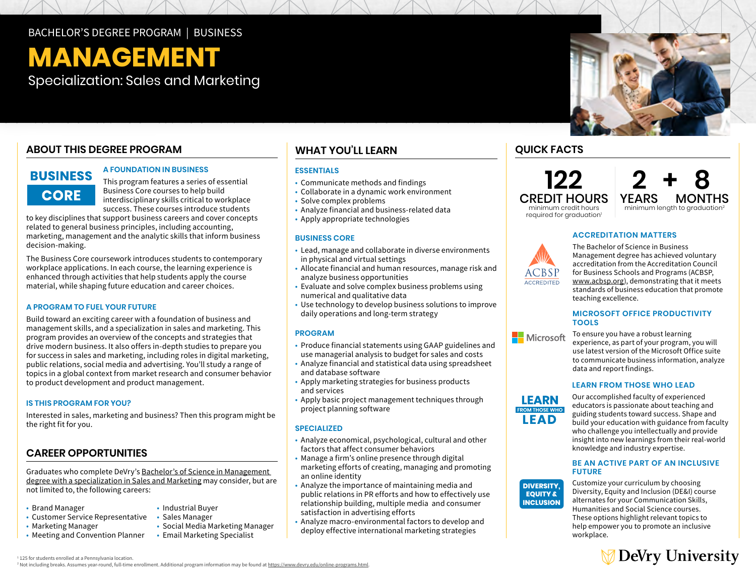## BACHELOR'S DEGREE PROGRAM | BUSINESS

# **MANAGEMENT**

Specialization: Sales and Marketing

## **ABOUT THIS DEGREE PROGRAM**

## **BUSINESS CORE**

#### **A FOUNDATION IN BUSINESS**

This program features a series of essential Business Core courses to help build interdisciplinary skills critical to workplace success. These courses introduce students

to key disciplines that support business careers and cover concepts related to general business principles, including accounting, marketing, management and the analytic skills that inform business decision-making.

The Business Core coursework introduces students to contemporary workplace applications. In each course, the learning experience is enhanced through activities that help students apply the course material, while shaping future education and career choices.

#### **A PROGRAM TO FUEL YOUR FUTURE**

Build toward an exciting career with a foundation of business and management skills, and a specialization in sales and marketing. This program provides an overview of the concepts and strategies that drive modern business. It also offers in-depth studies to prepare you for success in sales and marketing, including roles in digital marketing, public relations, social media and advertising. You'll study a range of topics in a global context from market research and consumer behavior to product development and product management.

#### **IS THIS PROGRAM FOR YOU?**

Interested in sales, marketing and business? Then this program might be the right fit for you.

## **CAREER OPPORTUNITIES**

Graduates who complete DeVry's [Bachelor's of Science in Management](https://www.devry.edu/online-programs/bachelors-degrees/business/sales-and-marketing-specialization.html)  [degree with a specialization in Sales and Marketing](https://www.devry.edu/online-programs/bachelors-degrees/business/sales-and-marketing-specialization.html) may consider, but are not limited to, the following careers:

- Brand Manager
- Customer Service Representative
- Marketing Manager
- Meeting and Convention Planner

## **WHAT YOU'LL LEARN**

#### **ESSENTIALS**

- Communicate methods and findings
- Collaborate in a dynamic work environment
- Solve complex problems
- Analyze financial and business-related data
- Apply appropriate technologies

#### **BUSINESS CORE**

- Lead, manage and collaborate in diverse environments in physical and virtual settings
- Allocate financial and human resources, manage risk and analyze business opportunities
- Evaluate and solve complex business problems using numerical and qualitative data
- Use technology to develop business solutions to improve daily operations and long-term strategy

#### **PROGRAM**

- Produce financial statements using GAAP guidelines and use managerial analysis to budget for sales and costs
- Analyze financial and statistical data using spreadsheet and database software
- Apply marketing strategies for business products and services
- Apply basic project management techniques through project planning software

#### **SPECIALIZED**

- Analyze economical, psychological, cultural and other factors that affect consumer behaviors
- Manage a firm's online presence through digital marketing efforts of creating, managing and promoting an online identity
- Analyze the importance of maintaining media and public relations in PR efforts and how to effectively use relationship building, multiple media and consumer satisfaction in advertising efforts
- Analyze macro-environmental factors to develop and deploy effective international marketing strategies



**122** CREDIT HOURS minimum credit hours



required for graduation<sup>1</sup>

#### **ACCREDITATION MATTERS**



The Bachelor of Science in Business Management degree has achieved voluntary accreditation from the Accreditation Council for Business Schools and Programs (ACBSP, [www.acbsp.org\)](http://www.acbsp.org), demonstrating that it meets standards of business education that promote teaching excellence.

#### **MICROSOFT OFFICE PRODUCTIVITY TOOLS**



To ensure you have a robust learning experience, as part of your program, you will use latest version of the Microsoft Office suite to communicate business information, analyze data and report findings.

#### **LEARN FROM THOSE WHO LEAD**



**DIVERSITY, EQUITY &** knowledge and industry expertise.Our accomplished faculty of experienced educators is passionate about teaching and guiding students toward success. Shape and build your education with guidance from faculty who challenge you intellectually and provide insight into new learnings from their real-world

#### **IBE AN ACTIVE PART OF AN INCLUSIVE FUTURE**



Customize your curriculum by choosing Diversity, Equity and Inclusion (DE&I) course alternates for your Communication Skills, Humanities and Social Science courses. These options highlight relevant topics to help empower you to promote an inclusive workplace.



<sup>1</sup> 125 for students enrolled at a Pennsylvania location. <sup>2</sup> Not including breaks. Assumes year-round, full-time enrollment. Additional program information may be found at https://www.devry.edu/online-programs.html

 • Industrial Buyer • Sales Manager

 • Social Media Marketing Manager • Email Marketing Specialist